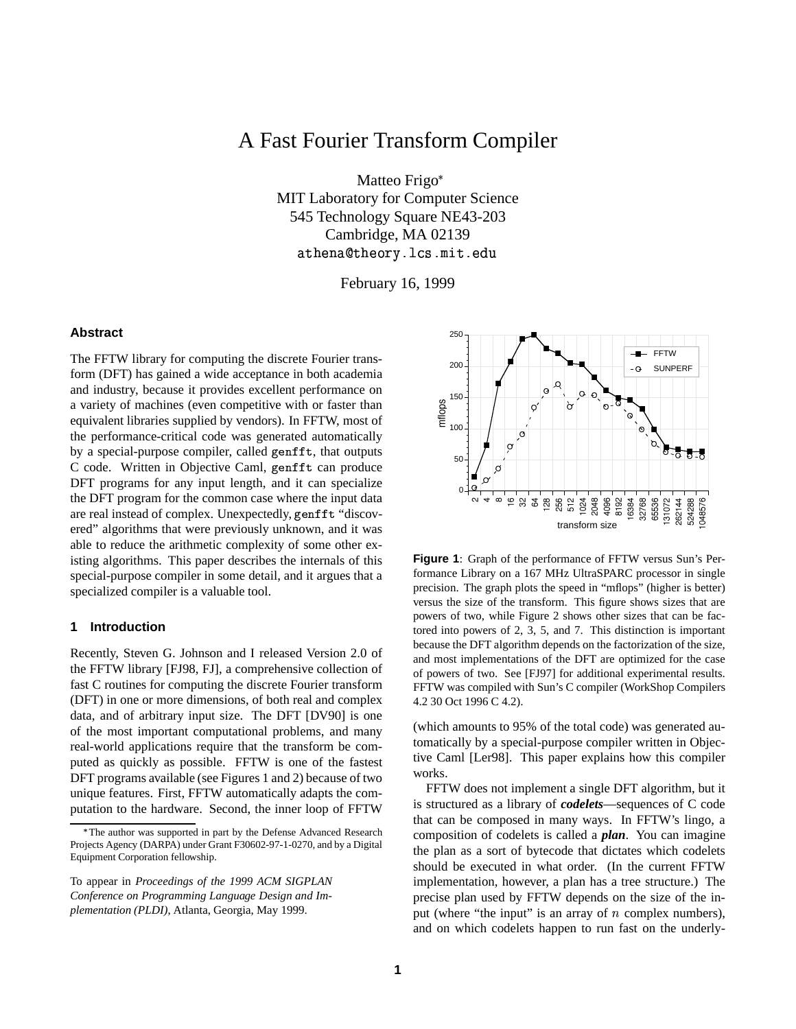# A Fast Fourier Transform Compiler

Matteo Frigo\* MIT Laboratory for Computer Science 545 Technology Square NE43-203 Cambridge, MA 02139 - -- !"

February 16, 1999

# **Abstract**

The FFTW library for computing the discrete Fourier transform (DFT) has gained a wide acceptance in both academia and industry, because it provides excellent performance on a variety of machines (even competitive with or faster than equivalent libraries supplied by vendors). In FFTW, most of the performance-critical code was generated automatically by a special-purpose compiler, called genfft, that outputs C code. Written in Objective Caml, genfft can produce DFT programs for any input length, and it can specialize the DFT program for the common case where the input data are real instead of complex. Unexpectedly, genf ft "discovered" algorithms that were previously unknown, and it was able to reduce the arithmetic complexity of some other existing algorithms. This paper describes the internals of this special-purpose compiler in some detail, and it argues that a specialized compiler is a valuable tool.

### **1 Introduction**

Recently, Steven G. Johnson and I released Version 2.0 of the FFTW library [FJ98, FJ], a comprehensive collection of fast C routines for computing the discrete Fourier transform (DFT) in one or more dimensions, of both real and complex data, and of arbitrary input size. The DFT [DV90] is one of the most important computational problems, and many real-world applications require that the transform be computed as quickly as possible. FFTW is one of the fastest DFT programs available (see Figures 1 and 2) because of two unique features. First, FFTW automatically adapts the computation to the hardware. Second, the inner loop of FFTW



**Figure 1**: Graph of the performance of FFTW versus Sun's Performance Library on a 167 MHz UltraSPARC processor in single precision. The graph plots the speed in "mflops" (higher is better) versus the size of the transform. This figure shows sizes that are powers of two, while Figure 2 shows other sizes that can be factored into powers of 2, 3, 5, and 7. This distinction is important because the DFT algorithm depends on the factorization of the size, and most implementations of the DFT are optimized for the case of powers of two. See [FJ97] for additional experimental results. FFTW was compiled with Sun's C compiler (WorkShop Compilers 4.2 30 Oct 1996 C 4.2).

(which amounts to 95% of the total code) was generated automatically by a special-purpose compiler written in Objective Caml [Ler98]. This paper explains how this compiler works.

FFTW does not implement a single DFT algorithm, but it is structured as a library of *codelets*—sequences of C code that can be composed in many ways. In FFTW's lingo, a composition of codelets is called a *plan*. You can imagine the plan as a sort of bytecode that dictates which codelets should be executed in what order. (In the current FFTW implementation, however, a plan has a tree structure.) The precise plan used by FFTW depends on the size of the input (where "the input" is an array of  $n$  complex numbers), and on which codelets happen to run fast on the underly-

<sup>.</sup> The author was supported in part by the Defense Advanced Research Projects Agency (DARPA) under Grant F30602-97-1-0270, and by a Digital Equipment Corporation fellowship.

To appear in *Proceedings of the 1999 ACM SIGPLAN Conference on Programming Language Design and Implementation (PLDI)*, Atlanta, Georgia, May 1999.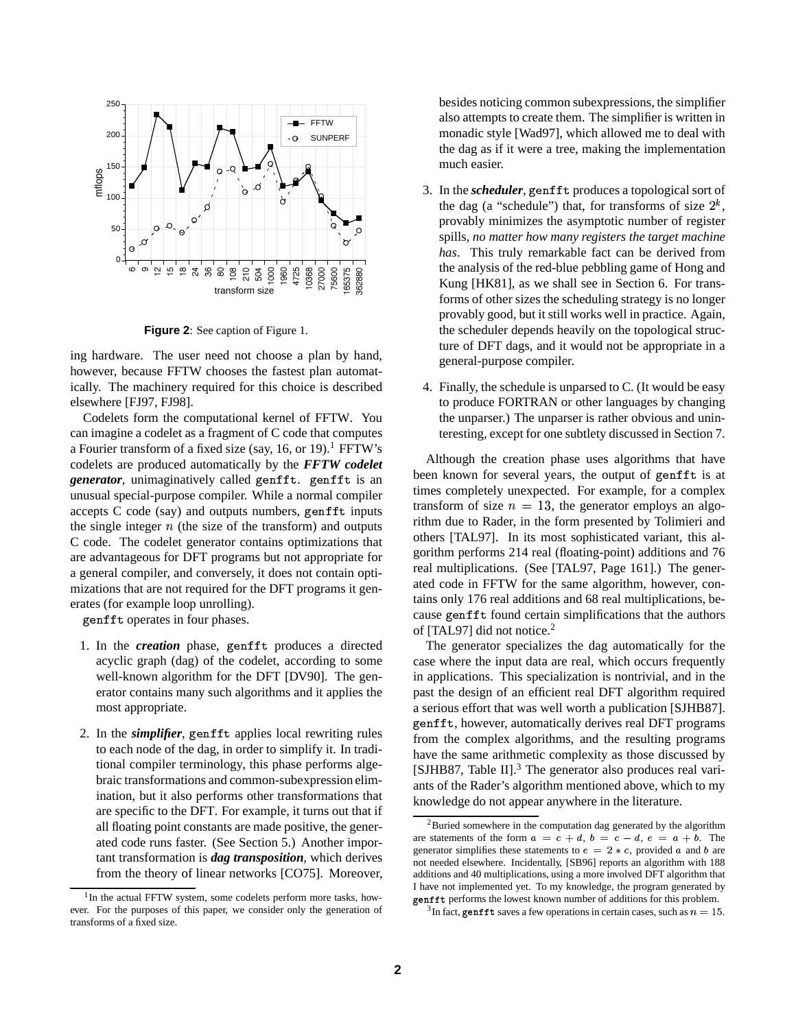

**Figure 2**: See caption of Figure 1.

ing hardware. The user need not choose a plan by hand, however, because FFTW chooses the fastest plan automatically. The machinery required for this choice is described elsewhere [FJ97, FJ98].

Codelets form the computational kernel of FFTW. You can imagine a codelet as a fragment of C code that computes a Fourier transform of a fixed size (say, 16, or 19).<sup>1</sup> FFTW's codelets are produced automatically by the *FFTW codelet generator*, unimaginatively called genfft. genfft is an unusual special-purpose compiler. While a normal compiler accepts  $C$  code (say) and outputs numbers, genfft inputs the single integer  $n$  (the size of the transform) and outputs C code. The codelet generator contains optimizations that are advantageous for DFT programs but not appropriate for a general compiler, and conversely, it does not contain optimizations that are not required for the DFT programs it generates (for example loop unrolling).

genfft operates in four phases.

- 1. In the *creation* phase, genfft produces a directed acyclic graph (dag) of the codelet, according to some well-known algorithm for the DFT [DV90]. The generator contains many such algorithms and it applies the most appropriate.
- 2. In the *simplifier*, genfft applies local rewriting rules to each node of the dag, in order to simplify it. In traditional compiler terminology, this phase performs algebraic transformations and common-subexpression elimination, but it also performs other transformations that are specific to the DFT. For example, it turns out that if all floating point constants are made positive, the generated code runs faster. (See Section 5.) Another important transformation is *dag transposition*, which derives from the theory of linear networks [CO75]. Moreover,

besides noticing common subexpressions, the simplifier also attempts to create them. The simplifier is written in monadic style [Wad97], which allowed me to deal with the dag as if it were a tree, making the implementation much easier.

- 3. In the *scheduler*, genfft produces a topological sort of the dag (a "schedule") that, for transforms of size  $2^k$ , provably minimizes the asymptotic number of register spills, *no matter how many registers the target machine has*. This truly remarkable fact can be derived from the analysis of the red-blue pebbling game of Hong and Kung [HK81], as we shall see in Section 6. For transforms of other sizes the scheduling strategy is no longer provably good, but it still works well in practice. Again, the scheduler depends heavily on the topological structure of DFT dags, and it would not be appropriate in a general-purpose compiler.
- 4. Finally, the schedule is unparsed to C. (It would be easy to produce FORTRAN or other languages by changing the unparser.) The unparser is rather obvious and uninteresting, except for one subtlety discussed in Section 7.

Although the creation phase uses algorithms that have been known for several years, the output of genfft is at times completely unexpected. For example, for a complex transform of size  $n = 13$ , the generator employs an algorithm due to Rader, in the form presented by Tolimieri and others [TAL97]. In its most sophisticated variant, this algorithm performs 214 real (floating-point) additions and 76 real multiplications. (See [TAL97, Page 161].) The generated code in FFTW for the same algorithm, however, contains only 176 real additions and 68 real multiplications, because genfft found certain simplifications that the authors of [TAL97] did not notice.<sup>2</sup>

The generator specializes the dag automatically for the case where the input data are real, which occurs frequently in applications. This specialization is nontrivial, and in the past the design of an efficient real DFT algorithm required a serious effort that was well worth a publication [SJHB87]. genfft, however, automatically derives real DFT programs from the complex algorithms, and the resulting programs have the same arithmetic complexity as those discussed by [SJHB87, Table II].<sup>3</sup> The generator also produces real variants of the Rader's algorithm mentioned above, which to my knowledge do not appear anywhere in the literature.

<sup>&</sup>lt;sup>1</sup>In the actual FFTW system, some codelets perform more tasks, however. For the purposes of this paper, we consider only the generation of transforms of a fixed size.

<sup>2</sup>Buried somewhere in the computation dag generated by the algorithm are statements of the form  $a = c + d$ ,  $b = c - d$ ,  $e = a + b$ . The generator simplifies these statements to  $e = 2 * c$ , provided a and b are not needed elsewhere. Incidentally, [SB96] reports an algorithm with 188 additions and 40 multiplications, using a more involved DFT algorithm that I have not implemented yet. To my knowledge, the program generated by genfft performs the lowest known number of additions for this problem.

<sup>&</sup>lt;sup>3</sup>In fact, genf ft saves a few operations in certain cases, such as  $n=15$ .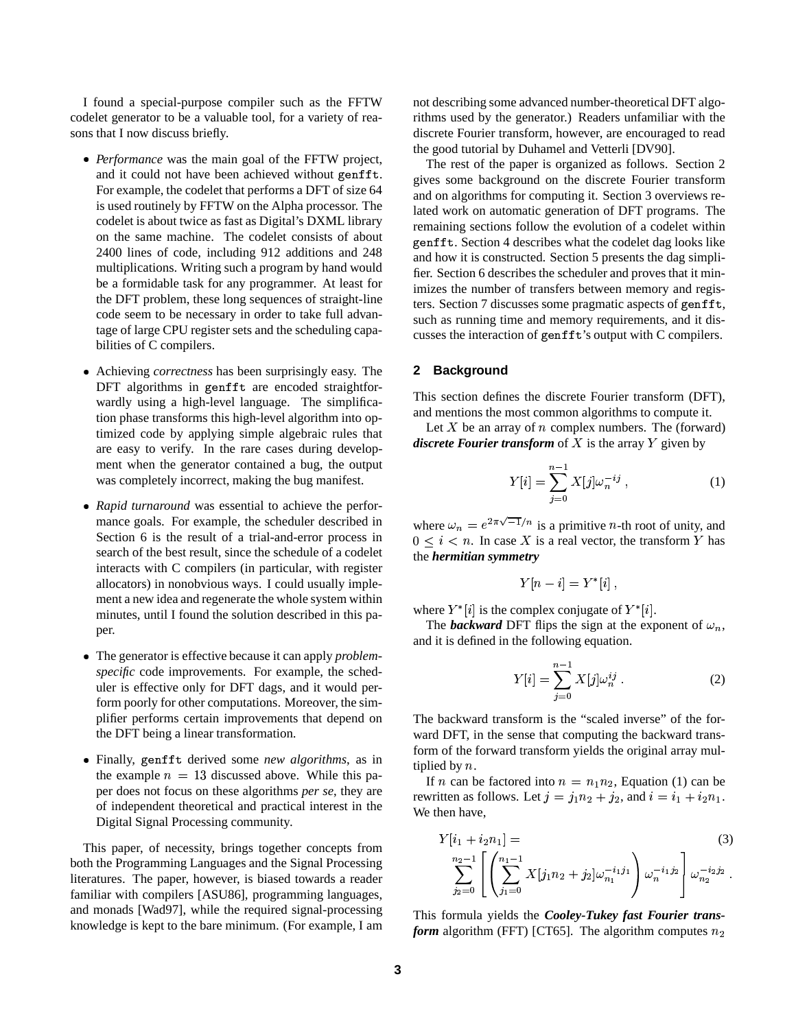I found a special-purpose compiler such as the FFTW codelet generator to be a valuable tool, for a variety of reasons that I now discuss briefly.

- Performance was the main goal of the FFTW project, and it could not have been achieved without genfft. For example, the codelet that performs a DFT of size 64 is used routinely by FFTW on the Alpha processor. The codelet is about twice as fast as Digital's DXML library on the same machine. The codelet consists of about 2400 lines of code, including 912 additions and 248 multiplications. Writing such a program by hand would be a formidable task for any programmer. At least for the DFT problem, these long sequences of straight-line code seem to be necessary in order to take full advantage of large CPU register sets and the scheduling capabilities of C compilers.
- Achieving *correctness* has been surprisingly easy. The  $DFT$  algorithms in genfft are encoded straightforwardly using a high-level language. The simplification phase transforms this high-level algorithm into optimized code by applying simple algebraic rules that are easy to verify. In the rare cases during development when the generator contained a bug, the output was completely incorrect, making the bug manifest.
- Rapid turnaround was essential to achieve the performance goals. For example, the scheduler described in Section 6 is the result of a trial-and-error process in search of the best result, since the schedule of a codelet interacts with C compilers (in particular, with register allocators) in nonobvious ways. I could usually implement a new idea and regenerate the whole system within minutes, until I found the solution described in this paper.
- The generator is effective because it can apply *problemspecific* code improvements. For example, the scheduler is effective only for DFT dags, and it would perform poorly for other computations. Moreover, the simplifier performs certain improvements that depend on the DFT being a linear transformation.
- **•** Finally, genfft derived some *new algorithms*, as in the example  $n = 13$  discussed above. While this paper does not focus on these algorithms *per se*, they are of independent theoretical and practical interest in the Digital Signal Processing community.

This paper, of necessity, brings together concepts from both the Programming Languages and the Signal Processing literatures. The paper, however, is biased towards a reader familiar with compilers [ASU86], programming languages, and monads [Wad97], while the required signal-processing knowledge is kept to the bare minimum. (For example, I am

not describing some advanced number-theoretical DFT algorithms used by the generator.) Readers unfamiliar with the discrete Fourier transform, however, are encouraged to read the good tutorial by Duhamel and Vetterli [DV90].

The rest of the paper is organized as follows. Section 2 gives some background on the discrete Fourier transform and on algorithms for computing it. Section 3 overviews related work on automatic generation of DFT programs. The remaining sections follow the evolution of a codelet within genfft. Section 4 describes what the codelet dag looks like and how it is constructed. Section 5 presents the dag simplifier. Section 6 describes the scheduler and proves that it minimizes the number of transfers between memory and registers. Section 7 discusses some pragmatic aspects of  $\text{genfit}$ , such as running time and memory requirements, and it discusses the interaction of  $\text{genfit}'$ 's output with C compilers.

# **2 Background**

This section defines the discrete Fourier transform (DFT), and mentions the most common algorithms to compute it.

Let  $X$  be an array of  $n$  complex numbers. The (forward) *discrete Fourier transform* of  $X$  is the array  $Y$  given by

$$
Y[i] = \sum_{j=0}^{n-1} X[j] \omega_n^{-ij} , \qquad (1)
$$

where  $\omega_n = e^{2\pi\sqrt{-1}/n}$  is a primitive *n*-th root of unity, and  $0 \leq i \leq n$ . In case X is a real vector, the transform Y has the *hermitian symmetry*

$$
Y[n-i] = Y^*[i],
$$

where  $Y^* [i]$  is the complex conjugate of  $Y^* [i]$ .

The *backward* DFT flips the sign at the exponent of  $\omega_n$ , and it is defined in the following equation.

$$
Y[i] = \sum_{j=0}^{n-1} X[j] \omega_n^{ij} .
$$
 (2)

The backward transform is the "scaled inverse" of the forward DFT, in the sense that computing the backward transform of the forward transform yields the original array multiplied by  $n$ .

If *n* can be factored into  $n = n_1 n_2$ , Equation (1) can be rewritten as follows. Let  $j = j_1 n_2 + j_2$ , and  $i = i_1 + i_2 n_1$ . We then have,

$$
Y[i_1 + i_2 n_1] = \n\sum_{j_2=0}^{n_2-1} \left[ \left( \sum_{j_1=0}^{n_1-1} X[j_1 n_2 + j_2] \omega_{n_1}^{-i_1 j_1} \right) \omega_n^{-i_1 j_2} \right] \omega_{n_2}^{-i_2 j_2} .
$$
\n(3)

This formula yields the *Cooley-Tukey fast Fourier transform* algorithm (FFT) [CT65]. The algorithm computes  $n_2$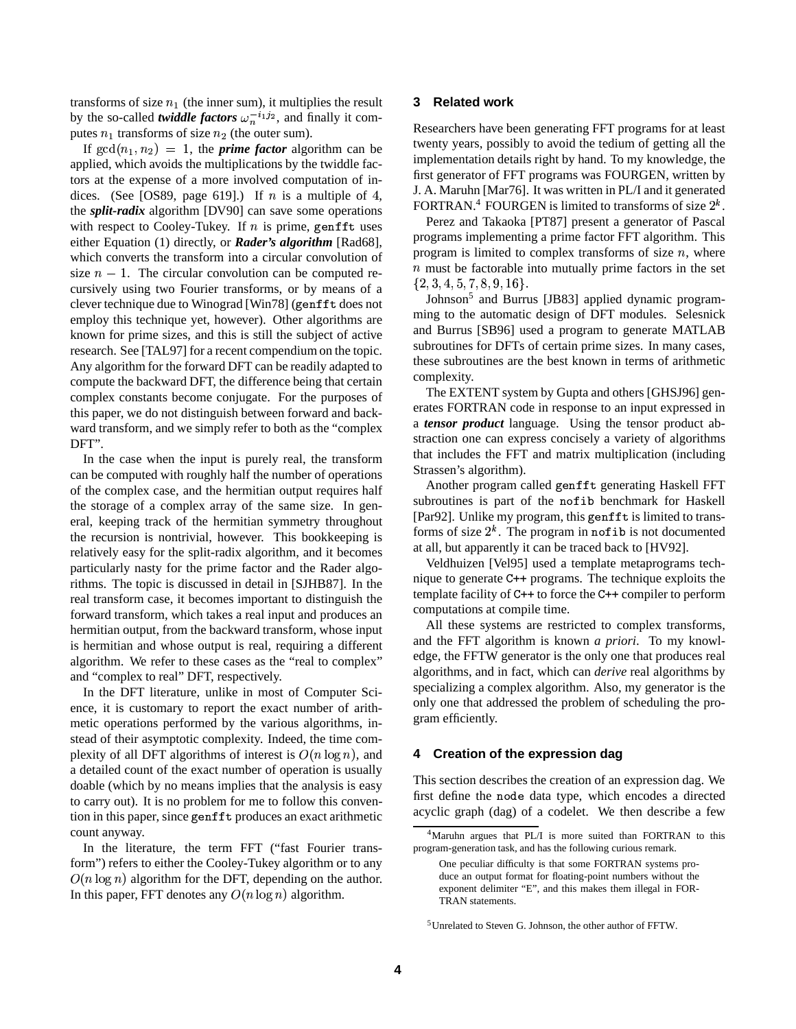transforms of size  $n_1$  (the inner sum), it multiplies the result by the so-called *twiddle factors*  $\omega_n^{-i_1 j_2}$ , and finally it computes  $n_1$  transforms of size  $n_2$  (the outer sum).

If  $\gcd(n_1, n_2) = 1$ , the *prime factor* algorithm can be applied, which avoids the multiplications by the twiddle factors at the expense of a more involved computation of indices. (See [OS89, page 619].) If  $n$  is a multiple of 4, the *split-radix* algorithm [DV90] can save some operations with respect to Cooley-Tukey. If  $n$  is prime, genfft uses either Equation (1) directly, or *Rader's algorithm* [Rad68], which converts the transform into a circular convolution of size  $n - 1$ . The circular convolution can be computed recursively using two Fourier transforms, or by means of a clever technique due to Winograd [Win78] (genfft does not employ this technique yet, however). Other algorithms are known for prime sizes, and this is still the subject of active research. See [TAL97] for a recent compendium on the topic. Any algorithm for the forward DFT can be readily adapted to compute the backward DFT, the difference being that certain complex constants become conjugate. For the purposes of this paper, we do not distinguish between forward and backward transform, and we simply refer to both as the "complex DFT".

In the case when the input is purely real, the transform can be computed with roughly half the number of operations of the complex case, and the hermitian output requires half the storage of a complex array of the same size. In general, keeping track of the hermitian symmetry throughout the recursion is nontrivial, however. This bookkeeping is relatively easy for the split-radix algorithm, and it becomes particularly nasty for the prime factor and the Rader algorithms. The topic is discussed in detail in [SJHB87]. In the real transform case, it becomes important to distinguish the forward transform, which takes a real input and produces an hermitian output, from the backward transform, whose input is hermitian and whose output is real, requiring a different algorithm. We refer to these cases as the "real to complex" and "complex to real" DFT, respectively.

In the DFT literature, unlike in most of Computer Science, it is customary to report the exact number of arithmetic operations performed by the various algorithms, instead of their asymptotic complexity. Indeed, the time complexity of all DFT algorithms of interest is  $O(n \log n)$ , and a detailed count of the exact number of operation is usually doable (which by no means implies that the analysis is easy to carry out). It is no problem for me to follow this convention in this paper, since genfft produces an exact arithmetic count anyway.

In the literature, the term FFT ("fast Fourier transform") refers to either the Cooley-Tukey algorithm or to any In this paper, FFT denotes any  $O(n \log n)$  algorithm.  $O(n \log n)$  algorithm for the DFT, depending on the author.

# **3 Related work**

Researchers have been generating FFT programs for at least twenty years, possibly to avoid the tedium of getting all the implementation details right by hand. To my knowledge, the first generator of FFT programs was FOURGEN, written by J. A. Maruhn [Mar76]. It was written inPL/I and it generated FORTRAN.<sup>4</sup> FOURGEN is limited to transforms of size  $2<sup>k</sup>$ .

Perez and Takaoka [PT87] present a generator of Pascal programs implementing a prime factor FFT algorithm. This program is limited to complex transforms of size  $n$ , where  $n$  must be factorable into mutually prime factors in the set  $\{2, 3, 4, 5, 7, 8, 9, 16\}.$ 

Johnson<sup>5</sup> and Burrus [JB83] applied dynamic programming to the automatic design of DFT modules. Selesnick and Burrus [SB96] used a program to generate MATLAB subroutines for DFTs of certain prime sizes. In many cases, these subroutines are the best known in terms of arithmetic complexity.

The EXTENT system by Gupta and others [GHSJ96] generates FORTRAN code in response to an input expressed in a *tensor product* language. Using the tensor product abstraction one can express concisely a variety of algorithms that includes the FFT and matrix multiplication (including Strassen's algorithm).

Another program called genfft generating Haskell FFT subroutines is part of the nofib benchmark for Haskell [Par92]. Unlike my program, this genfft is limited to transforms of size  $2^k$ . The program in nofib is not documented at all, but apparently it can be traced back to [HV92].

Veldhuizen [Vel95] used a template metaprograms technique to generate  $C++$  programs. The technique exploits the template facility of  $C++$  to force the  $C++$  compiler to perform computations at compile time.

All these systems are restricted to complex transforms, and the FFT algorithm is known *a priori*. To my knowledge, the FFTW generator is the only one that produces real algorithms, and in fact, which can *derive* real algorithms by specializing a complex algorithm. Also, my generator is the only one that addressed the problem of scheduling the program efficiently.

# **4 Creation of the expression dag**

This section describes the creation of an expression dag. We first define the node data type, which encodes a directed acyclic graph (dag) of a codelet. We then describe a few

<sup>4</sup>Maruhn argues that PL/I is more suited than FORTRAN to this program-generation task, and has the following curious remark.

One peculiar difficulty is that some FORTRAN systems produce an output format for floating-point numbers without the exponent delimiter "E", and this makes them illegal in FOR-TRAN statements.

<sup>5</sup>Unrelated to Steven G. Johnson, the other author of FFTW.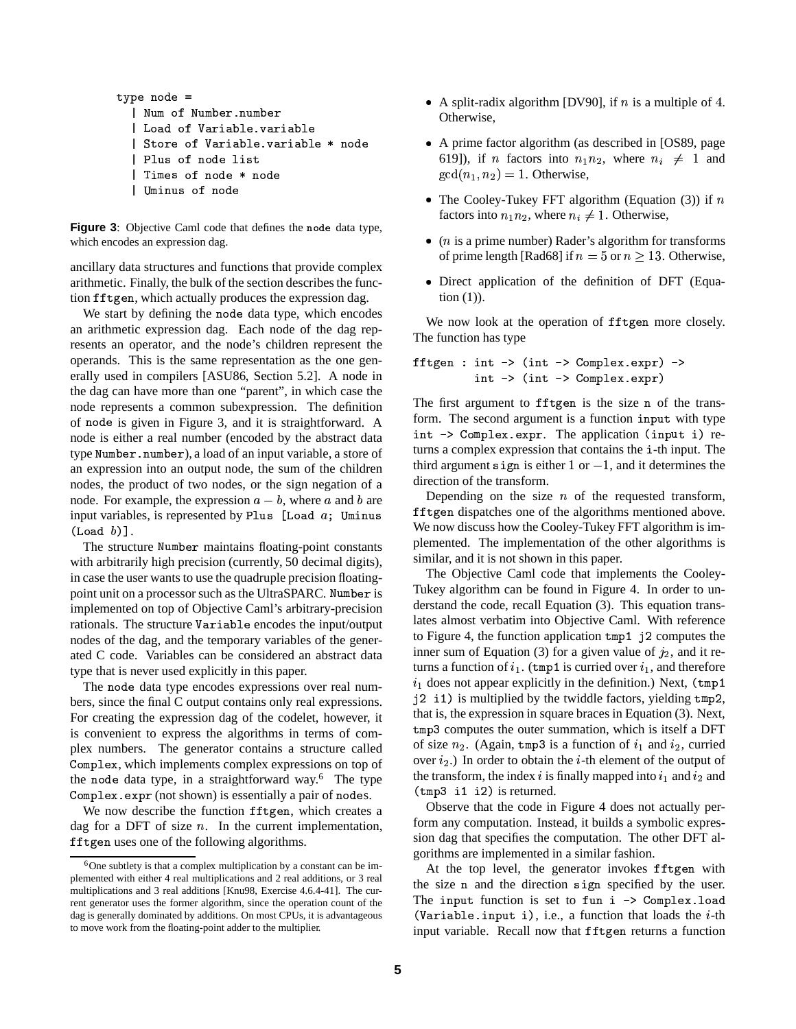```
type node =| Num of Number.number
  | Load of Variable.variable
  | Store of Variable.variable * node
  | Plus of node list
  | Times of node * node
  | Uminus of node
```
Figure 3: Objective Caml code that defines the node data type, which encodes an expression dag.

ancillary data structures and functions that provide complex arithmetic. Finally, the bulk of the section describes the function fftgen, which actually produces the expression dag.

We start by defining the node data type, which encodes an arithmetic expression dag. Each node of the dag represents an operator, and the node's children represent the operands. This is the same representation as the one generally used in compilers [ASU86, Section 5.2]. A node in the dag can have more than one "parent", in which case the node represents a common subexpression. The definition of node is given in Figure 3, and it is straightforward. A node is either a real number (encoded by the abstract data type Number.number), a load of an input variable, a store of an expression into an output node, the sum of the children nodes, the product of two nodes, or the sign negation of a node. For example, the expression  $a - b$ , where a and b are input variables, is represented by Plus [Load  $a$ ; Uminus  $(Load b)$ .

The structure Number maintains floating-point constants with arbitrarily high precision (currently, 50 decimal digits), in case the user wants to use the quadruple precision floatingpoint unit on a processor such as the UltraSPARC. Number is implemented on top of Objective Caml's arbitrary-precision rationals. The structure Variable encodes the input/output nodes of the dag, and the temporary variables of the generated C code. Variables can be considered an abstract data type that is never used explicitly in this paper.

The node data type encodes expressions over real numbers, since the final C output contains only real expressions. For creating the expression dag of the codelet, however, it is convenient to express the algorithms in terms of complex numbers. The generator contains a structure called Complex, which implements complex expressions on top of the node data type, in a straightforward way.<sup>6</sup> The type Complex expr (not shown) is essentially a pair of nodes.

We now describe the function fftgen, which creates a dag for a DFT of size  $n$ . In the current implementation, fftgen uses one of the following algorithms.

- A split-radix algorithm [DV90], if n is a multiple of 4. Otherwise.
- A prime factor algorithm (as described in [OS89, page 619]), if *n* factors into  $n_1n_2$ , where  $n_i \neq 1$  and  $gcd(n_1, n_2) = 1$ . Otherwise,
- The Cooley-Tukey FFT algorithm (Equation (3)) if  $n$ factors into  $n_1 n_2$ , where  $n_i \neq 1$ . Otherwise,
- $\bullet$  (*n* is a prime number) Rader's algorithm for transforms of prime length [Rad68] if  $n = 5$  or  $n \ge 13$ . Otherwise,
- Direct application of the definition of DFT (Equa- $\frac{1}{1}$  (1)).

We now look at the operation of fftgen more closely. The function has type

```
fftgen : int -> (int -> Complex.expr) ->
         int -> (int -> Complex.expr)
```
The first argument to fftgen is the size n of the transform. The second argument is a function input with type int -> Complex.expr. The application (input i) returns a complex expression that contains the i-th input. The third argument sign is either 1 or  $-1$ , and it determines the direction of the transform.

Depending on the size  $n$  of the requested transform, fftgen dispatches one of the algorithms mentioned above. We now discuss how the Cooley-Tukey FFT algorithm is implemented. The implementation of the other algorithms is similar, and it is not shown in this paper.

The Objective Caml code that implements the Cooley-Tukey algorithm can be found in Figure 4. In order to understand the code, recall Equation (3). This equation translates almost verbatim into Objective Caml. With reference to Figure 4, the function application tmp1 j2 computes the inner sum of Equation (3) for a given value of  $j_2$ , and it returns a function of  $i_1$ . (tmp1 is curried over  $i_1$ , and therefore  $i_1$  does not appear explicitly in the definition.) Next, (tmp1 j2 i1) is multiplied by the twiddle factors, yielding tmp2, that is, the expression in square braces in Equation (3). Next, tmp3 computes the outer summation, which is itself a DFT of size  $n_2$ . (Again, tmp3 is a function of  $i_1$  and  $i_2$ , curried over  $i_2$ .) In order to obtain the *i*-th element of the output of the transform, the index  $i$  is finally mapped into  $i_1$  and  $i_2$  and  $(tmp3$  i1 i2) is returned.

Observe that the code in Figure 4 does not actually perform any computation. Instead, it builds a symbolic expression dag that specifies the computation. The other DFT algorithms are implemented in a similar fashion.

At the top level, the generator invokes fftgen with the size n and the direction sign specified by the user. The input function is set to fun  $i \rightarrow$  Complex. load (Variable.input i), i.e., a function that loads the  $i$ -th input variable. Recall now that fftgen returns a function

<sup>&</sup>lt;sup>6</sup>One subtlety is that a complex multiplication by a constant can be implemented with either 4 real multiplications and 2 real additions, or 3 real multiplications and 3 real additions [Knu98, Exercise 4.6.4-41]. The current generator uses the former algorithm, since the operation count of the dag is generally dominated by additions. On most CPUs, it is advantageous to move work from the floating-point adder to the multiplier.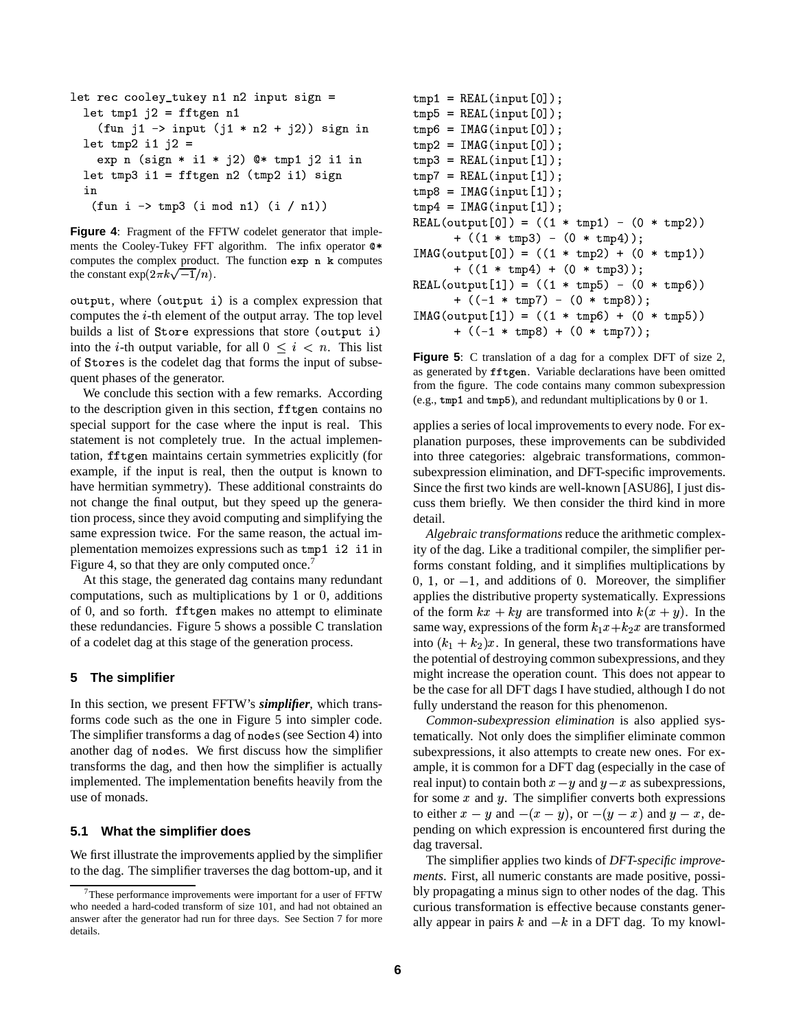```
let rec cooley_tukey n1 n2 input sign =
  let tmp1 i2 = fftgen n1
    (fun j1 \rightarrow input (j1 * n2 + j2)) sign inlet tmp2 i1 j2 =
    exp n (sign * i1 * j2) @* tmp1 j2 i1 in
  let tmp3 i1 = fftgen n2 (tmp2 i1) sign
  in
   (fun i \rightarrow tmp3 (i mod n1) (i / n1))
```
Figure 4: Fragment of the FFTW codelet generator that implements the Cooley-Tukey FFT algorithm. The infix operator  $Q*$ computes the complex product. The function exp n k computes the constant  $\exp(2\pi k\sqrt{-1}/n)$ .

output, where (output i) is a complex expression that computes the  $i$ -th element of the output array. The top level builds a list of Store expressions that store (output i) into the *i*-th output variable, for all  $0 \le i \le n$ . This list of Stores is the codelet dag that forms the input of subsequent phases of the generator.

We conclude this section with a few remarks. According to the description given in this section, fftgen contains no special support for the case where the input is real. This statement is not completely true. In the actual implementation, fftgen maintains certain symmetries explicitly (for example, if the input is real, then the output is known to have hermitian symmetry). These additional constraints do not change the final output, but they speed up the generation process, since they avoid computing and simplifying the same expression twice. For the same reason, the actual implementation memoizes expressions such as tmp1 i2 i1 in Figure 4, so that they are only computed once.<sup>7</sup>

At this stage, the generated dag contains many redundant computations, such as multiplications by  $1$  or  $0$ , additions of 0, and so forth. fftgen makes no attempt to eliminate these redundancies. Figure 5 shows a possible C translation of a codelet dag at this stage of the generation process.

# 5 The simplifier

In this section, we present FFTW's simplifier, which transforms code such as the one in Figure 5 into simpler code. The simplifier transforms a dag of nodes (see Section 4) into another dag of nodes. We first discuss how the simplifier transforms the dag, and then how the simplifier is actually implemented. The implementation benefits heavily from the use of monads.

#### What the simplifier does  $5.1$

We first illustrate the improvements applied by the simplifier to the dag. The simplifier traverses the dag bottom-up, and it

```
tmp1 = REAL(input[0]);tmp5 = REAL(input[0]);tmp6 = IMAG(input[0]);tmp2 = IMAG(input[0]);tmp3 = REAL(input[1]);tmp7 = REAL(input[1]);tmp8 = IMAG(input[1]);tmp4 = IMAG(input[1]);REAL(output [0]) = ((1 * tmp1) - (0 * tmp2))+ ((1 * \text{tmp3}) - (0 * \text{tmp4}));IMAG(output[0]) = ((1 * tmp2) + (0 * tmp1))+ ((1 * tmp4) + (0 * tmp3));REAL(output [1]) = ((1 * \text{tmp5}) - (0 * \text{tmp6}))+ ((-1 * \text{tmp7}) - (0 * \text{tmp8}));IMAG(output[1]) = ((1 * tmp6) + (0 * tmp5))+ ((-1 * \text{tmp8}) + (0 * \text{tmp7}));
```
Figure 5: C translation of a dag for a complex DFT of size 2, as generated by fftgen. Variable declarations have been omitted from the figure. The code contains many common subexpression (e.g., tmp1 and tmp5), and redundant multiplications by 0 or 1.

applies a series of local improvements to every node. For explanation purposes, these improvements can be subdivided into three categories: algebraic transformations, commonsubexpression elimination, and DFT-specific improvements. Since the first two kinds are well-known [ASU86], I just discuss them briefly. We then consider the third kind in more detail.

Algebraic transformations reduce the arithmetic complexity of the dag. Like a traditional compiler, the simplifier performs constant folding, and it simplifies multiplications by  $0, 1,$  or  $-1$ , and additions of 0. Moreover, the simplifier applies the distributive property systematically. Expressions of the form  $kx + ky$  are transformed into  $k(x + y)$ . In the same way, expressions of the form  $k_1x+k_2x$  are transformed into  $(k_1 + k_2)x$ . In general, these two transformations have the potential of destroying common subexpressions, and they might increase the operation count. This does not appear to be the case for all DFT dags I have studied, although I do not fully understand the reason for this phenomenon.

Common-subexpression elimination is also applied systematically. Not only does the simplifier eliminate common subexpressions, it also attempts to create new ones. For example, it is common for a DFT dag (especially in the case of real input) to contain both  $x - y$  and  $y - x$  as subexpressions, for some  $x$  and  $y$ . The simplifier converts both expressions to either  $x - y$  and  $-(x - y)$ , or  $-(y - x)$  and  $y - x$ , depending on which expression is encountered first during the dag traversal.

The simplifier applies two kinds of DFT-specific improvements. First, all numeric constants are made positive, possibly propagating a minus sign to other nodes of the dag. This curious transformation is effective because constants generally appear in pairs  $k$  and  $-k$  in a DFT dag. To my knowl-

<sup>&</sup>lt;sup>7</sup>These performance improvements were important for a user of FFTW who needed a hard-coded transform of size 101, and had not obtained an answer after the generator had run for three days. See Section 7 for more details.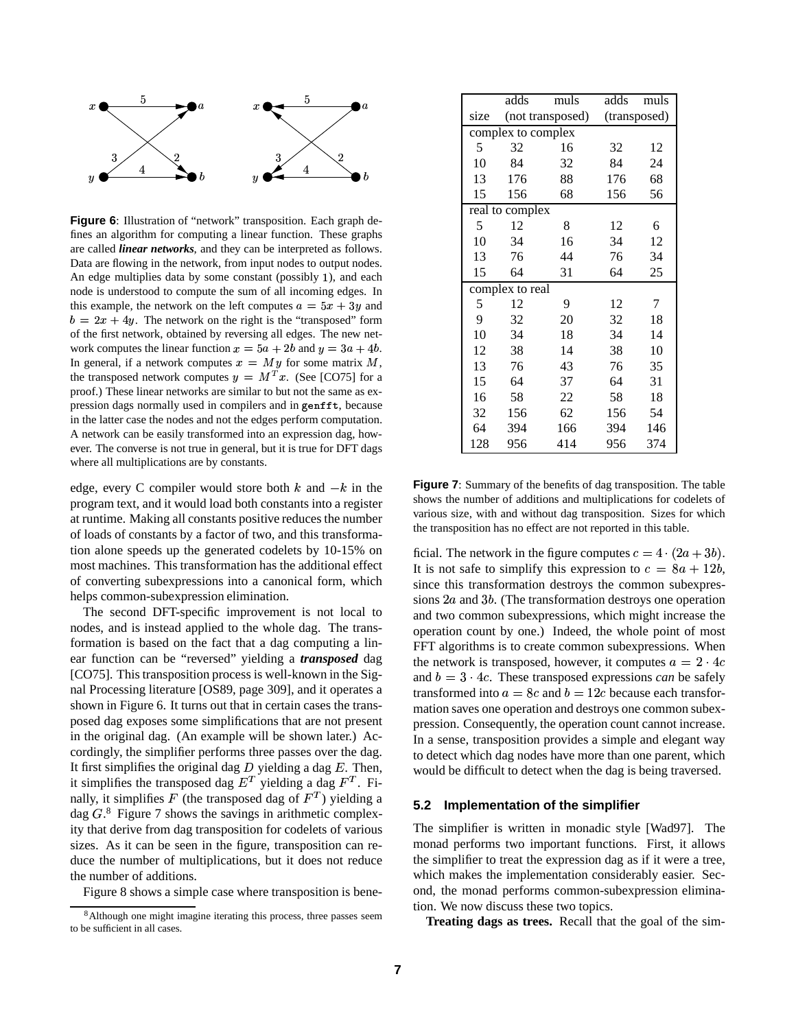

**Figure 6**: Illustration of "network" transposition. Each graph defines an algorithm for computing a linear function. These graphs are called *linear networks*, and they can be interpreted as follows. Data are flowing in the network, from input nodes to output nodes. An edge multiplies data by some constant (possibly  $1$ ), and each node is understood to compute the sum of all incoming edges. In this example, the network on the left computes  $a = 5x + 3y$  and  $b = 2x + 4y$ . The network on the right is the "transposed" form of the first network, obtained by reversing all edges. The new network computes the linear function  $x = 5a + 2b$  and  $y = 3a + 4b$ . In general, if a network computes  $x = My$  for some matrix M, the transposed network computes  $y = M^T x$ . (See [CO75] for a proof.) These linear networks are similar to but not the same as expression dags normally used in compilers and in genfft, because in the latter case the nodes and not the edges perform computation. A network can be easily transformed into an expression dag, however. The converse is not true in general, but it is true for DFT dags where all multiplications are by constants.

edge, every C compiler would store both  $k$  and  $-k$  in the program text, and it would load both constants into a register at runtime. Making all constants positive reduces the number of loads of constants by a factor of two, and this transformation alone speeds up the generated codelets by 10-15% on most machines. This transformation has the additional effect of converting subexpressions into a canonical form, which helps common-subexpression elimination.

The second DFT-specific improvement is not local to nodes, and is instead applied to the whole dag. The transformation is based on the fact that a dag computing a linear function can be "reversed" yielding a *transposed* dag [CO75]. This transposition process is well-known in the Signal Processing literature [OS89, page 309], and it operates a shown in Figure 6. It turns out that in certain cases the transposed dag exposes some simplifications that are not present in the original dag. (An example will be shown later.) Accordingly, the simplifier performs three passes over the dag. It first simplifies the original dag  $D$  yielding a dag  $E$ . Then, it simplifies the transposed dag  $E^T$  yielding a dag  $F^T$ . Finally, it simplifies F (the transposed dag of  $F<sup>T</sup>$ ) yielding a dag  $G<sup>8</sup>$  Figure 7 shows the savings in arithmetic complexity that derive from dag transposition for codelets of various sizes. As it can be seen in the figure, transposition can reduce the number of multiplications, but it does not reduce the number of additions.

Figure 8 shows a simple case where transposition is bene-

|                    | adds             | muls | adds         | muls |
|--------------------|------------------|------|--------------|------|
| size               | (not transposed) |      | (transposed) |      |
| complex to complex |                  |      |              |      |
| 5                  | 32               | 16   | 32           | 12   |
| 10                 | 84               | 32   | 84           | 24   |
| 13                 | 176              | 88   | 176          | 68   |
| 15                 | 156              | 68   | 156          | 56   |
| real to complex    |                  |      |              |      |
| 5                  | 12               | 8    | 12           | 6    |
| 10                 | 34               | 16   | 34           | 12   |
| 13                 | 76               | 44   | 76           | 34   |
| 15                 | 64               | 31   | 64           | 25   |
| complex to real    |                  |      |              |      |
| 5                  | 12               | 9    | 12           | 7    |
| 9                  | 32               | 20   | 32           | 18   |
| 10                 | 34               | 18   | 34           | 14   |
| 12                 | 38               | 14   | 38           | 10   |
| 13                 | 76               | 43   | 76           | 35   |
| 15                 | 64               | 37   | 64           | 31   |
| 16                 | 58               | 22   | 58           | 18   |
| 32                 | 156              | 62   | 156          | 54   |
| 64                 | 394              | 166  | 394          | 146  |
| 128                | 956              | 414  | 956          | 374  |

**Figure 7**: Summary of the benefits of dag transposition. The table shows the number of additions and multiplications for codelets of various size, with and without dag transposition. Sizes for which the transposition has no effect are not reported in this table.

ficial. The network in the figure computes  $c=4\cdot(2a+3b)$ . It is not safe to simplify this expression to  $c = 8a + 12b$ , since this transformation destroys the common subexpressions  $2a$  and  $3b$ . (The transformation destroys one operation and two common subexpressions, which might increase the operation count by one.) Indeed, the whole point of most FFT algorithms is to create common subexpressions. When the network is transposed, however, it computes  $a = 2 \cdot 4c$ and  $b = 3 \cdot 4c$ . These transposed expressions *can* be safely transformed into  $a = 8c$  and  $b = 12c$  because each transformation saves one operation and destroys one common subexpression. Consequently, the operation count cannot increase. In a sense, transposition provides a simple and elegant way to detect which dag nodes have more than one parent, which would be difficult to detect when the dag is being traversed.

## **5.2 Implementation of the simplifier**

The simplifier is written in monadic style [Wad97]. The monad performs two important functions. First, it allows the simplifier to treat the expression dag as if it were a tree, which makes the implementation considerably easier. Second, the monad performs common-subexpression elimination. We now discuss these two topics.

**Treating dags as trees.** Recall that the goal of the sim-

<sup>&</sup>lt;sup>8</sup>Although one might imagine iterating this process, three passes seem to be sufficient in all cases.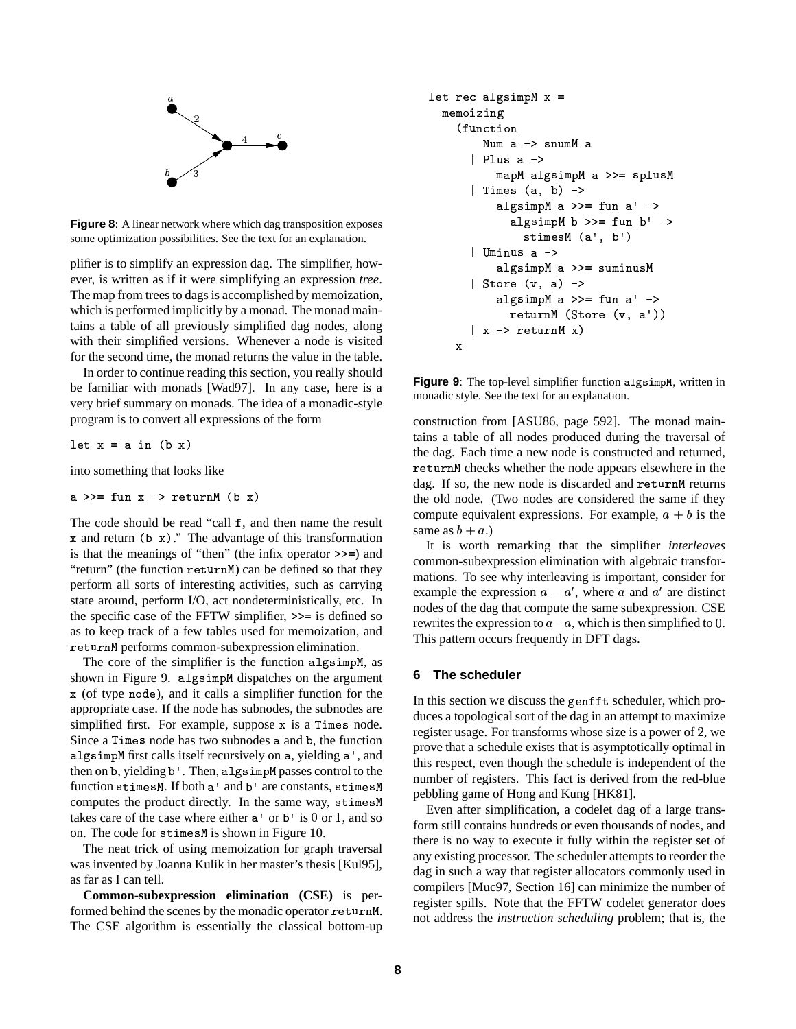

Figure 8: A linear network where which dag transposition exposes some optimization possibilities. See the text for an explanation.

plifier is to simplify an expression dag. The simplifier, however, is written as if it were simplifying an expression tree. The map from trees to dags is accomplished by memoization, which is performed implicitly by a monad. The monad maintains a table of all previously simplified dag nodes, along with their simplified versions. Whenever a node is visited for the second time, the monad returns the value in the table.

In order to continue reading this section, you really should be familiar with monads [Wad97]. In any case, here is a very brief summary on monads. The idea of a monadic-style program is to convert all expressions of the form

let  $x = a$  in  $(b x)$ 

into something that looks like

a 
$$
>=
$$
 fun x  $>$  returnM (b x)

The code should be read "call f, and then name the result x and return  $(b \times)$ ." The advantage of this transformation is that the meanings of "then" (the infix operator  $\gg$  =) and "return" (the function returnM) can be defined so that they perform all sorts of interesting activities, such as carrying state around, perform I/O, act nondeterministically, etc. In the specific case of the FFTW simplifier,  $\gg$  = is defined so as to keep track of a few tables used for memoization, and returnM performs common-subexpression elimination.

The core of the simplifier is the function algsimpM, as shown in Figure 9. algsimpM dispatches on the argument x (of type node), and it calls a simplifier function for the appropriate case. If the node has subnodes, the subnodes are simplified first. For example, suppose x is a Times node. Since a Times node has two subnodes a and b, the function algsimpM first calls itself recursively on a, yielding a', and then on b, yielding b'. Then, algsimpM passes control to the function stimesM. If both a' and b' are constants, stimesM computes the product directly. In the same way, stimes M takes care of the case where either  $a'$  or  $b'$  is 0 or 1, and so on. The code for stimesM is shown in Figure 10.

The neat trick of using memoization for graph traversal was invented by Joanna Kulik in her master's thesis [Kul95], as far as I can tell.

**Common-subexpression elimination (CSE)** is performed behind the scenes by the monadic operator returnM. The CSE algorithm is essentially the classical bottom-up

```
let rec algsimpM x =memoizing
    (function
        Num a -> snumM a
       Plus a ->
          mapM algsimpM a >>= splusM
       | Times (a, b) ->
          algsimpM a >>= fun a' ->
             algsimpM b \ge 5 fun b' \ge 5stimesM (a', b')
       | Uminus a ->
          algsimpM a >>= suminusM
      Store (v, a) \rightarrowalgsimpM a >>= fun a' ->
             returnM (Store (v, a'))
       \vert x -> returnM x)
    \mathbf x
```
Figure 9: The top-level simplifier function algsimpM, written in monadic style. See the text for an explanation.

construction from [ASU86, page 592]. The monad maintains a table of all nodes produced during the traversal of the dag. Each time a new node is constructed and returned, returnM checks whether the node appears elsewhere in the dag. If so, the new node is discarded and returnM returns the old node. (Two nodes are considered the same if they compute equivalent expressions. For example,  $a + b$  is the same as  $b + a$ .)

It is worth remarking that the simplifier *interleaves* common-subexpression elimination with algebraic transformations. To see why interleaving is important, consider for example the expression  $a - a'$ , where a and  $a'$  are distinct nodes of the dag that compute the same subexpression. CSE rewrites the expression to  $a - a$ , which is then simplified to 0. This pattern occurs frequently in DFT dags.

# 6 The scheduler

In this section we discuss the genfft scheduler, which produces a topological sort of the dag in an attempt to maximize register usage. For transforms whose size is a power of 2, we prove that a schedule exists that is asymptotically optimal in this respect, even though the schedule is independent of the number of registers. This fact is derived from the red-blue pebbling game of Hong and Kung [HK81].

Even after simplification, a codelet dag of a large transform still contains hundreds or even thousands of nodes, and there is no way to execute it fully within the register set of any existing processor. The scheduler attempts to reorder the dag in such a way that register allocators commonly used in compilers [Muc97, Section 16] can minimize the number of register spills. Note that the FFTW codelet generator does not address the *instruction scheduling* problem; that is, the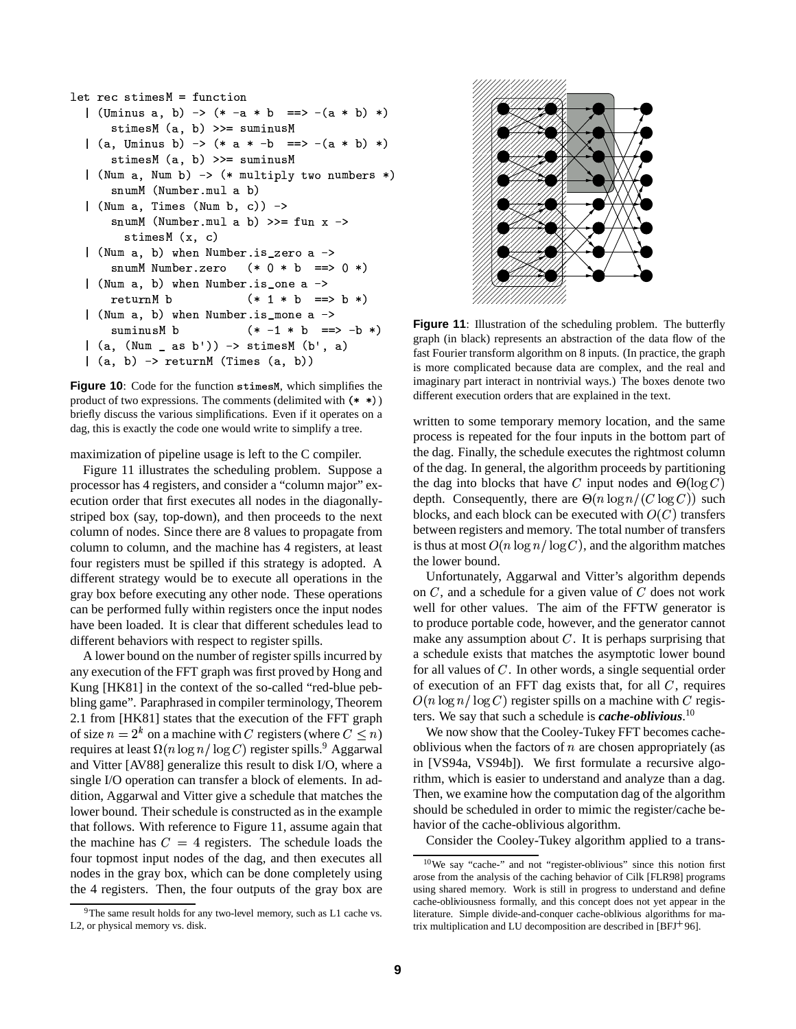```
let rec stimesM = function| (Uminus a, b) -> (* -a * b ==> -(a * b) *)
      stimesM (a, b) >>= suminusM
  |(a, Uminus b) \rightarrow (* a * -b == > -(a * b) * )stimesM (a, b) \gg = suminusM
  | (Num a, Num b) -> (* multiply two numbers *)
      snumM (Number.mul a b)
  | (Num a, Times (Num b, c)) ->
      snumM (Number.mul a b) >>= fun x ->
        stimesM(x, c)| (Num a, b) when Number.is zero a ->
      snumM Number.zero
                           (* 0 * b == 0 *)| (Num a, b) when Number. is one a ->
      returnM b
                           (* 1 * b == > b *)| (Num a, b) when Number.is_mone a ->
      suminusM b
                           (* -1 * b ==> -b *)( a, (Num <sub>-</sub> as b')) \rightarrow stimesM (b', a))(a, b) -> returnM (Times (a, b))
```
Figure 10: Code for the function stimesM, which simplifies the product of two expressions. The comments (delimited with  $(**)$ ) briefly discuss the various simplifications. Even if it operates on a dag, this is exactly the code one would write to simplify a tree.

maximization of pipeline usage is left to the C compiler.

Figure 11 illustrates the scheduling problem. Suppose a processor has 4 registers, and consider a "column major" execution order that first executes all nodes in the diagonallystriped box (say, top-down), and then proceeds to the next column of nodes. Since there are 8 values to propagate from column to column, and the machine has 4 registers, at least four registers must be spilled if this strategy is adopted. A different strategy would be to execute all operations in the gray box before executing any other node. These operations can be performed fully within registers once the input nodes have been loaded. It is clear that different schedules lead to different behaviors with respect to register spills.

A lower bound on the number of register spills incurred by any execution of the FFT graph was first proved by Hong and Kung [HK81] in the context of the so-called "red-blue pebbling game". Paraphrased in compiler terminology, Theorem 2.1 from [HK81] states that the execution of the FFT graph of size  $n = 2^k$  on a machine with C registers (where  $C \leq n$ ) requires at least  $\Omega(n \log n / \log C)$  register spills.<sup>9</sup> Aggarwal and Vitter [AV88] generalize this result to disk I/O, where a single I/O operation can transfer a block of elements. In addition, Aggarwal and Vitter give a schedule that matches the lower bound. Their schedule is constructed as in the example that follows. With reference to Figure 11, assume again that the machine has  $C = 4$  registers. The schedule loads the four topmost input nodes of the dag, and then executes all nodes in the gray box, which can be done completely using the 4 registers. Then, the four outputs of the gray box are



**Figure 11:** Illustration of the scheduling problem. The butterfly graph (in black) represents an abstraction of the data flow of the fast Fourier transform algorithm on 8 inputs. (In practice, the graph is more complicated because data are complex, and the real and imaginary part interact in nontrivial ways.) The boxes denote two different execution orders that are explained in the text.

written to some temporary memory location, and the same process is repeated for the four inputs in the bottom part of the dag. Finally, the schedule executes the rightmost column of the dag. In general, the algorithm proceeds by partitioning the dag into blocks that have C input nodes and  $\Theta(\log C)$ depth. Consequently, there are  $\Theta(n \log n / (C \log C))$  such blocks, and each block can be executed with  $O(C)$  transfers between registers and memory. The total number of transfers is thus at most  $O(n \log n / \log C)$ , and the algorithm matches the lower bound.

Unfortunately, Aggarwal and Vitter's algorithm depends on  $C$ , and a schedule for a given value of  $C$  does not work well for other values. The aim of the FFTW generator is to produce portable code, however, and the generator cannot make any assumption about  $C$ . It is perhaps surprising that a schedule exists that matches the asymptotic lower bound for all values of  $C$ . In other words, a single sequential order of execution of an FFT dag exists that, for all  $C$ , requires  $O(n \log n / \log C)$  register spills on a machine with C registers. We say that such a schedule is *cache-oblivious*.<sup>10</sup>

We now show that the Cooley-Tukey FFT becomes cacheoblivious when the factors of  $n$  are chosen appropriately (as in [VS94a, VS94b]). We first formulate a recursive algorithm, which is easier to understand and analyze than a dag. Then, we examine how the computation dag of the algorithm should be scheduled in order to mimic the register/cache behavior of the cache-oblivious algorithm.

Consider the Cooley-Tukey algorithm applied to a trans-

<sup>&</sup>lt;sup>9</sup>The same result holds for any two-level memory, such as L1 cache vs. L2, or physical memory vs. disk.

 $10$ We say "cache-" and not "register-oblivious" since this notion first arose from the analysis of the caching behavior of Cilk [FLR98] programs using shared memory. Work is still in progress to understand and define cache-obliviousness formally, and this concept does not yet appear in the literature. Simple divide-and-conquer cache-oblivious algorithms for matrix multiplication and LU decomposition are described in  $[BFJ+96]$ .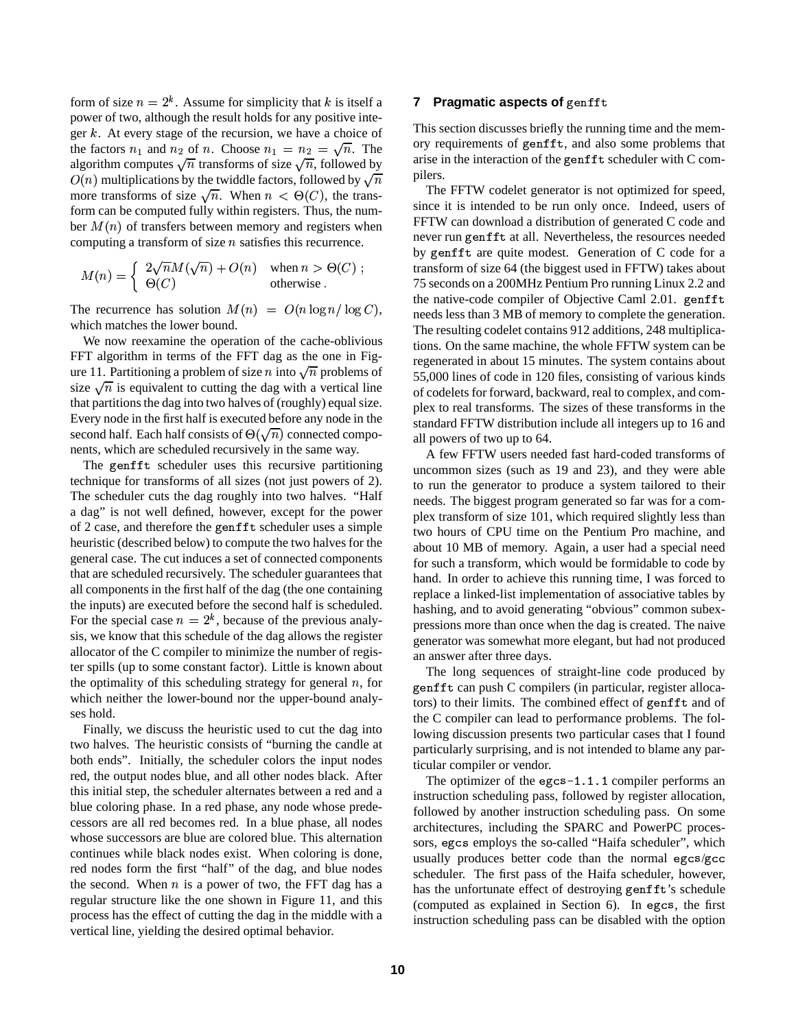form of size  $n = 2<sup>k</sup>$ . Assume for simplicity that k is itself a power of two, although the result holds for any positive integer  $k$ . At every stage of the recursion, we have a choice of the factors  $n_1$  and  $n_2$  of n. Choose  $n_1 = n_2 = \sqrt{n}$ . The algorithm computes  $\sqrt{n}$  transforms of size  $\sqrt{n}$ , followed by more transforms of size  $\sqrt{n}$ . When  $n < \Theta(C)$ , the trans- $O(n)$  multiplications by the twiddle factors, followed by  $\sqrt{n}$ form can be computed fully within registers. Thus, the number  $M(n)$  of transfers between memory and registers when computing a transform of size  $n$  satisfies this recurrence.

$$
M(n) = \begin{cases} 2\sqrt{n}M(\sqrt{n}) + O(n) & \text{when } n > \Theta(C) ; \\ \Theta(C) & \text{otherwise} . \end{cases}
$$

The recurrence has solution  $M(n) = O(n \log n / \log C)$ , which matches the lower bound.

We now reexamine the operation of the cache-oblivious FFT algorithm in terms of the FFT dag as the one in Figure 11. Partitioning a problem of size *n* into  $\sqrt{n}$  problems of size  $\sqrt{n}$  is equivalent to cutting the dag with a vertical line that partitions the dag into two halves of (roughly) equal size. Every node in the first half is executed before any node in the second half. Each half consists of  $\Theta(\sqrt{n})$  connected components, which are scheduled recursively in the same way.

The genfft scheduler uses this recursive partitioning technique for transforms of all sizes (not just powers of 2). The scheduler cuts the dag roughly into two halves. "Half a dag" is not well defined, however, except for the power of 2 case, and therefore the genfft scheduler uses a simple heuristic (described below) to compute the two halves for the general case. The cut induces a set of connected components that are scheduled recursively. The scheduler guarantees that all components in the first half of the dag (the one containing the inputs) are executed before the second half is scheduled. For the special case  $n=2<sup>k</sup>$ , because of the previous analysis, we know that this schedule of the dag allows the register allocator of the C compiler to minimize the number of register spills (up to some constant factor). Little is known about the optimality of this scheduling strategy for general  $n$ , for which neither the lower-bound nor the upper-bound analyses hold.

Finally, we discuss the heuristic used to cut the dag into two halves. The heuristic consists of "burning the candle at both ends". Initially, the scheduler colors the input nodes red, the output nodes blue, and all other nodes black. After this initial step, the scheduler alternates between a red and a blue coloring phase. In a red phase, any node whose predecessors are all red becomes red. In a blue phase, all nodes whose successors are blue are colored blue. This alternation continues while black nodes exist. When coloring is done, red nodes form the first "half" of the dag, and blue nodes the second. When  $n$  is a power of two, the FFT dag has a regular structure like the one shown in Figure 11, and this process has the effect of cutting the dag in the middle with a vertical line, yielding the desired optimal behavior.

# **7** Pragmatic aspects of genfft

This section discusses briefly the running time and the memory requirements of genfft, and also some problems that arise in the interaction of the genfft scheduler with  $C$  compilers.

The FFTW codelet generator is not optimized for speed, since it is intended to be run only once. Indeed, users of FFTW can download a distribution of generated C code and never run genfft at all. Nevertheless, the resources needed by genfit are quite modest. Generation of  $C$  code for a transform of size 64 (the biggest used in FFTW) takes about 75 seconds on a 200MHz Pentium Pro running Linux 2.2 and the native-code compiler of Objective Caml 2.01. genfft needs less than 3 MB of memory to complete the generation. The resulting codelet contains 912 additions, 248 multiplications. On the same machine, the wholeFFTW system can be regenerated in about 15 minutes. The system contains about 55,000 lines of code in 120 files, consisting of various kinds of codelets for forward, backward, real to complex, and complex to real transforms. The sizes of these transforms in the standard FFTW distribution include all integers up to 16 and all powers of two up to 64.

A few FFTW users needed fast hard-coded transforms of uncommon sizes (such as 19 and 23), and they were able to run the generator to produce a system tailored to their needs. The biggest program generated so far was for a complex transform of size 101, which required slightly less than two hours of CPU time on the Pentium Pro machine, and about 10 MB of memory. Again, a user had a special need for such a transform, which would be formidable to code by hand. In order to achieve this running time, I was forced to replace a linked-list implementation of associative tables by hashing, and to avoid generating "obvious" common subexpressions more than once when the dag is created. The naive generator was somewhat more elegant, but had not produced an answer after three days.

The long sequences of straight-line code produced by genfft can push C compilers (in particular, register allocators) to their limits. The combined effect of genfft and of the C compiler can lead to performance problems. The following discussion presents two particular cases that I found particularly surprising, and is not intended to blame any particular compiler or vendor.

The optimizer of the  $\epsilon$ gcs-1.1.1 compiler performs an instruction scheduling pass, followed by register allocation, followed by another instruction scheduling pass. On some architectures, including the SPARC and PowerPC processors, egcs employs the so-called "Haifa scheduler", which usually produces better code than the normal egcs/gcc scheduler. The first pass of the Haifa scheduler, however, has the unfortunate effect of destroying genfft's schedule (computed as explained in Section 6). In egcs, the first instruction scheduling pass can be disabled with the option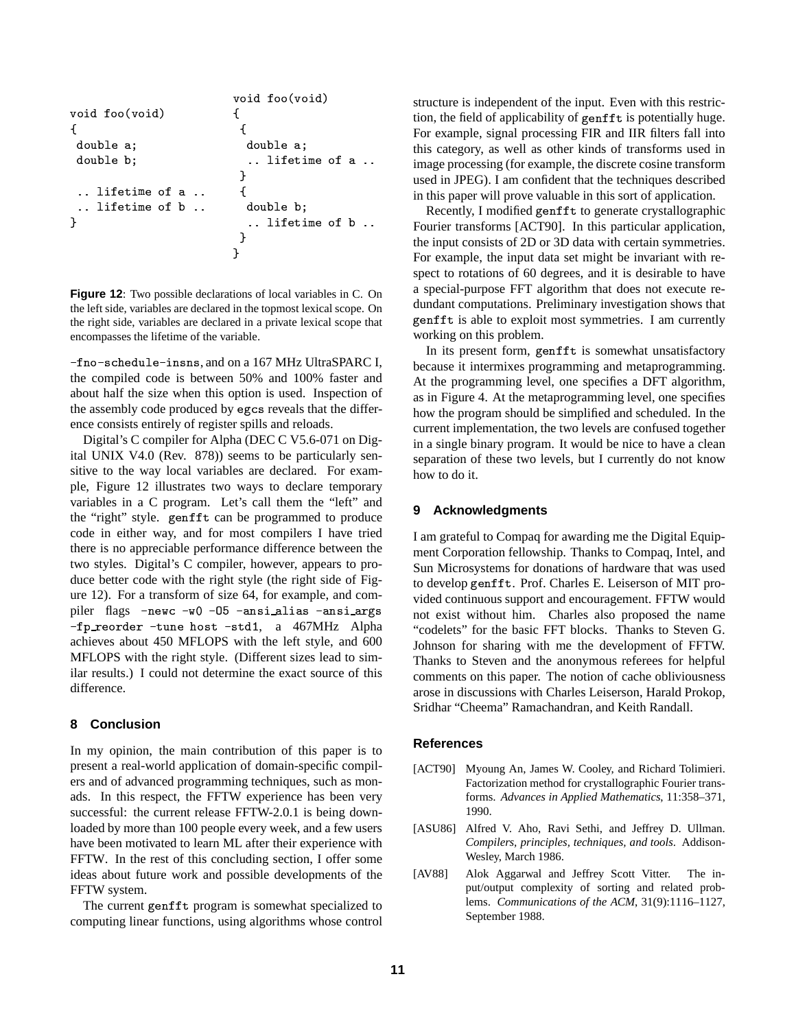```
void foo(void)
void foo(void)
                                 \mathfrak{t}\mathbf{f}€
 double a;
                                    double a:
 double b;
                                    .. lifetime of a ..
                                  }
 .. lifetime of a ..
                                   \mathcal{L}lifetime of b..
                                    double b;
\mathcal{F}.. lifetime of b ..
                                  \mathcal{E}}
```
Figure 12: Two possible declarations of local variables in C. On the left side, variables are declared in the topmost lexical scope. On the right side, variables are declared in a private lexical scope that encompasses the lifetime of the variable.

-fno-schedule-insns, and on a 167 MHz UltraSPARC I, the compiled code is between 50% and 100% faster and about half the size when this option is used. Inspection of the assembly code produced by egcs reveals that the difference consists entirely of register spills and reloads.

Digital's C compiler for Alpha (DEC C V5.6-071 on Digital UNIX V4.0 (Rev. 878)) seems to be particularly sensitive to the way local variables are declared. For example, Figure 12 illustrates two ways to declare temporary variables in a C program. Let's call them the "left" and the "right" style. genfft can be programmed to produce code in either way, and for most compilers I have tried there is no appreciable performance difference between the two styles. Digital's C compiler, however, appears to produce better code with the right style (the right side of Figure 12). For a transform of size 64, for example, and compiler flags -newc -w0 -05 -ansialias -ansiargs -fp\_reorder -tune host -std1, a 467MHz Alpha achieves about 450 MFLOPS with the left style, and 600 MFLOPS with the right style. (Different sizes lead to similar results.) I could not determine the exact source of this difference.

#### 8 **Conclusion**

In my opinion, the main contribution of this paper is to present a real-world application of domain-specific compilers and of advanced programming techniques, such as monads. In this respect, the FFTW experience has been very successful: the current release FFTW-2.0.1 is being downloaded by more than 100 people every week, and a few users have been motivated to learn ML after their experience with FFTW. In the rest of this concluding section, I offer some ideas about future work and possible developments of the FFTW system.

The current genfft program is somewhat specialized to computing linear functions, using algorithms whose control structure is independent of the input. Even with this restriction, the field of applicability of genfft is potentially huge. For example, signal processing FIR and IIR filters fall into this category, as well as other kinds of transforms used in image processing (for example, the discrete cosine transform used in JPEG). I am confident that the techniques described in this paper will prove valuable in this sort of application.

Recently, I modified genfft to generate crystallographic Fourier transforms [ACT90]. In this particular application, the input consists of 2D or 3D data with certain symmetries. For example, the input data set might be invariant with respect to rotations of 60 degrees, and it is desirable to have a special-purpose FFT algorithm that does not execute redundant computations. Preliminary investigation shows that genfft is able to exploit most symmetries. I am currently working on this problem.

In its present form, genfft is somewhat unsatisfactory because it intermixes programming and metaprogramming. At the programming level, one specifies a DFT algorithm, as in Figure 4. At the metaprogramming level, one specifies how the program should be simplified and scheduled. In the current implementation, the two levels are confused together in a single binary program. It would be nice to have a clean separation of these two levels, but I currently do not know how to do it.

#### **Acknowledgments** 9

I am grateful to Compaq for awarding me the Digital Equipment Corporation fellowship. Thanks to Compaq, Intel, and Sun Microsystems for donations of hardware that was used to develop genfft. Prof. Charles E. Leiserson of MIT provided continuous support and encouragement. FFTW would not exist without him. Charles also proposed the name "codelets" for the basic FFT blocks. Thanks to Steven G. Johnson for sharing with me the development of FFTW. Thanks to Steven and the anonymous referees for helpful comments on this paper. The notion of cache obliviousness arose in discussions with Charles Leiserson, Harald Prokop, Sridhar "Cheema" Ramachandran, and Keith Randall.

# **References**

- [ACT90] Myoung An, James W. Cooley, and Richard Tolimieri. Factorization method for crystallographic Fourier transforms. Advances in Applied Mathematics, 11:358-371, 1990.
- $[ASU86]$ Alfred V. Aho, Ravi Sethi, and Jeffrey D. Ullman. Compilers, principles, techniques, and tools. Addison-Wesley, March 1986.
- Alok Aggarwal and Jeffrey Scott Vitter. [AV88] The input/output complexity of sorting and related problems. Communications of the ACM, 31(9):1116-1127, September 1988.